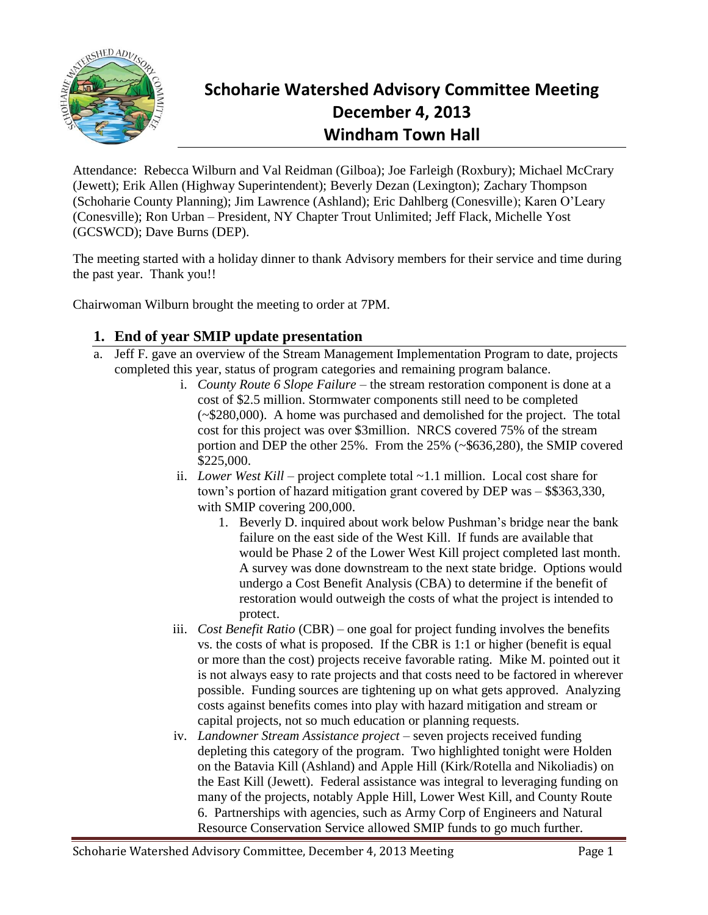

# **Schoharie Watershed Advisory Committee Meeting December 4, 2013 Windham Town Hall**

Attendance: Rebecca Wilburn and Val Reidman (Gilboa); Joe Farleigh (Roxbury); Michael McCrary (Jewett); Erik Allen (Highway Superintendent); Beverly Dezan (Lexington); Zachary Thompson (Schoharie County Planning); Jim Lawrence (Ashland); Eric Dahlberg (Conesville); Karen O'Leary (Conesville); Ron Urban – President, NY Chapter Trout Unlimited; Jeff Flack, Michelle Yost (GCSWCD); Dave Burns (DEP).

The meeting started with a holiday dinner to thank Advisory members for their service and time during the past year. Thank you!!

Chairwoman Wilburn brought the meeting to order at 7PM.

## **1. End of year SMIP update presentation**

- a. Jeff F. gave an overview of the Stream Management Implementation Program to date, projects completed this year, status of program categories and remaining program balance.
	- i. *County Route 6 Slope Failure* the stream restoration component is done at a cost of \$2.5 million. Stormwater components still need to be completed (~\$280,000). A home was purchased and demolished for the project. The total cost for this project was over \$3million. NRCS covered 75% of the stream portion and DEP the other 25%. From the 25% (~\$636,280), the SMIP covered \$225,000.
	- ii. *Lower West Kill* project complete total ~1.1 million. Local cost share for town's portion of hazard mitigation grant covered by DEP was – \$\$363,330, with SMIP covering 200,000.
		- 1. Beverly D. inquired about work below Pushman's bridge near the bank failure on the east side of the West Kill. If funds are available that would be Phase 2 of the Lower West Kill project completed last month. A survey was done downstream to the next state bridge. Options would undergo a Cost Benefit Analysis (CBA) to determine if the benefit of restoration would outweigh the costs of what the project is intended to protect.
	- iii. *Cost Benefit Ratio* (CBR) one goal for project funding involves the benefits vs. the costs of what is proposed. If the CBR is 1:1 or higher (benefit is equal or more than the cost) projects receive favorable rating. Mike M. pointed out it is not always easy to rate projects and that costs need to be factored in wherever possible. Funding sources are tightening up on what gets approved. Analyzing costs against benefits comes into play with hazard mitigation and stream or capital projects, not so much education or planning requests.
	- iv. *Landowner Stream Assistance project* seven projects received funding depleting this category of the program. Two highlighted tonight were Holden on the Batavia Kill (Ashland) and Apple Hill (Kirk/Rotella and Nikoliadis) on the East Kill (Jewett). Federal assistance was integral to leveraging funding on many of the projects, notably Apple Hill, Lower West Kill, and County Route 6. Partnerships with agencies, such as Army Corp of Engineers and Natural Resource Conservation Service allowed SMIP funds to go much further.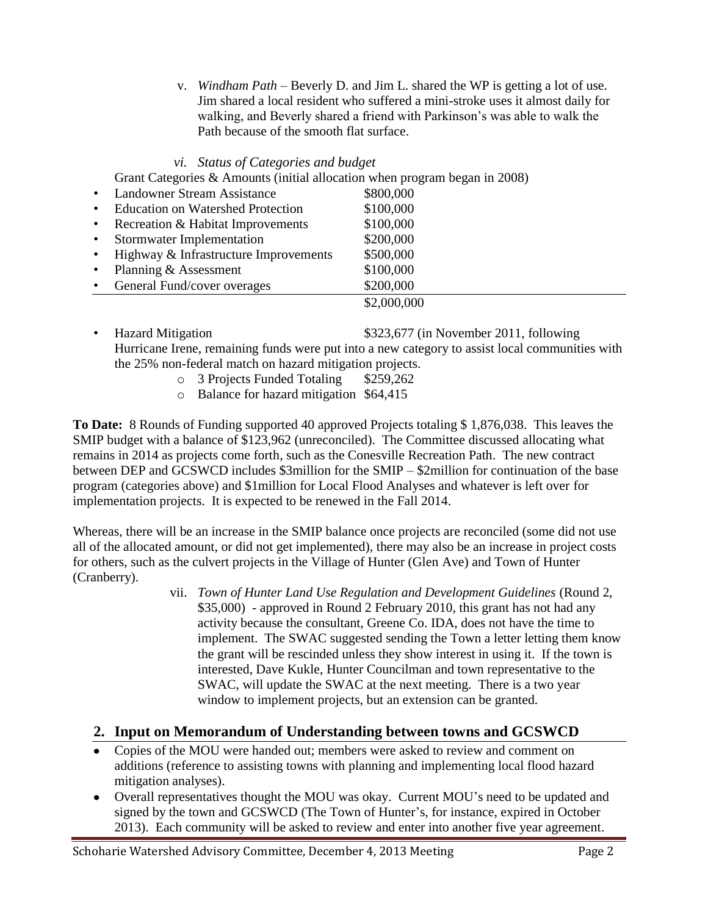v. *Windham Path* – Beverly D. and Jim L. shared the WP is getting a lot of use. Jim shared a local resident who suffered a mini-stroke uses it almost daily for walking, and Beverly shared a friend with Parkinson's was able to walk the Path because of the smooth flat surface.

*vi. Status of Categories and budget* 

Grant Categories & Amounts (initial allocation when program began in 2008)

|           | <b>Landowner Stream Assistance</b>       | \$800,000   |
|-----------|------------------------------------------|-------------|
| $\bullet$ | <b>Education on Watershed Protection</b> | \$100,000   |
| $\bullet$ | Recreation & Habitat Improvements        | \$100,000   |
| $\bullet$ | <b>Stormwater Implementation</b>         | \$200,000   |
| $\bullet$ | Highway & Infrastructure Improvements    | \$500,000   |
| $\bullet$ | Planning & Assessment                    | \$100,000   |
|           | General Fund/cover overages              | \$200,000   |
|           |                                          | \$2,000,000 |

- Hazard Mitigation **\$323,677** (in November 2011, following Hurricane Irene, remaining funds were put into a new category to assist local communities with the 25% non-federal match on hazard mitigation projects.
	- o 3 Projects Funded Totaling \$259,262
	- o Balance for hazard mitigation \$64,415

**To Date:** 8 Rounds of Funding supported 40 approved Projects totaling \$ 1,876,038. This leaves the SMIP budget with a balance of \$123,962 (unreconciled). The Committee discussed allocating what remains in 2014 as projects come forth, such as the Conesville Recreation Path. The new contract between DEP and GCSWCD includes \$3million for the SMIP – \$2million for continuation of the base program (categories above) and \$1million for Local Flood Analyses and whatever is left over for implementation projects. It is expected to be renewed in the Fall 2014.

Whereas, there will be an increase in the SMIP balance once projects are reconciled (some did not use all of the allocated amount, or did not get implemented), there may also be an increase in project costs for others, such as the culvert projects in the Village of Hunter (Glen Ave) and Town of Hunter (Cranberry).

vii. *Town of Hunter Land Use Regulation and Development Guidelines* (Round 2, \$35,000) - approved in Round 2 February 2010, this grant has not had any activity because the consultant, Greene Co. IDA, does not have the time to implement. The SWAC suggested sending the Town a letter letting them know the grant will be rescinded unless they show interest in using it. If the town is interested, Dave Kukle, Hunter Councilman and town representative to the SWAC, will update the SWAC at the next meeting. There is a two year window to implement projects, but an extension can be granted.

### **2. Input on Memorandum of Understanding between towns and GCSWCD**

- Copies of the MOU were handed out; members were asked to review and comment on additions (reference to assisting towns with planning and implementing local flood hazard mitigation analyses).
- Overall representatives thought the MOU was okay. Current MOU's need to be updated and signed by the town and GCSWCD (The Town of Hunter's, for instance, expired in October 2013). Each community will be asked to review and enter into another five year agreement.